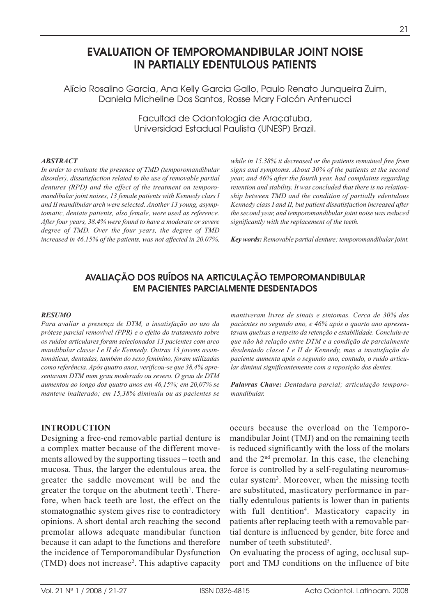# **EVALUATION OF TEMPOROMANDIBULAR JOINT NOISE IN PARTIALLY EDENTULOUS PATIENTS**

Alício Rosalino Garcia, Ana Kelly Garcia Gallo, Paulo Renato Junqueira Zuim, Daniela Micheline Dos Santos, Rosse Mary Falcón Antenucci

> Facultad de Odontología de Araçatuba, Universidad Estadual Paulista (UNESP) Brazil.

#### *ABSTRACT*

*In order to evaluate the presence of TMD (temporomandibular disorder), dissatisfaction related to the use of removable partial dentures (RPD) and the effect of the treatment on temporomandibular joint noises, 13 female patients with Kennedy class I and II mandibular arch were selected. Another 13 young, asymptomatic, dentate patients, also female, were used as reference. After four years, 38.4% were found to have a moderate or severe degree of TMD. Over the four years, the degree of TMD increased in 46.15% of the patients, was not affected in 20.07%,* *while in 15.38% it decreased or the patients remained free from signs and symptoms. About 30% of the patients at the second year, and 46% after the fourth year, had complaints regarding retention and stability. It was concluded that there is no relationship between TMD and the condition of partially edentulous Kennedy class I and II, but patient dissatisfaction increased after the second year, and temporomandibular joint noise was reduced significantly with the replacement of the teeth.*

*Key words: Removable partial denture; temporomandibular joint.*

## **AVALIAÇÃO DOS RUÍDOS NA ARTICULAÇÃO TEMPOROMANDIBULAR EM PACIENTES PARCIALMENTE DESDENTADOS**

#### *RESUMO*

*Para avaliar a presença de DTM, a insatisfação ao uso da prótese parcial removível (PPR) e o efeito do tratamento sobre os ruídos articulares foram selecionados 13 pacientes com arco mandibular classe I e II de Kennedy. Outras 13 jovens assintomáticas, dentadas, também do sexo feminino, foram utilizadas como referência. Após quatro anos, verificou-se que 38,4% apresentavam DTM num grau moderado ou severo. O grau de DTM aumentou ao longo dos quatro anos em 46,15%; em 20,07% se manteve inalterado; em 15,38% diminuiu ou as pacientes se*

### **INTRODUCTION**

Designing a free-end removable partial denture is a complex matter because of the different movements allowed by the supporting tissues – teeth and mucosa. Thus, the larger the edentulous area, the greater the saddle movement will be and the greater the torque on the abutment teeth $l$ . Therefore, when back teeth are lost, the effect on the stomatognathic system gives rise to contradictory opinions. A short dental arch reaching the second premolar allows adequate mandibular function because it can adapt to the functions and therefore the incidence of Temporomandibular Dysfunction (TMD) does not increase2. This adaptive capacity *mantiveram livres de sinais e sintomas. Cerca de 30% das pacientes no segundo ano, e 46% após o quarto ano apresentavam queixas a respeito da retenção e estabilidade. Concluiu-se que não há relação entre DTM e a condição de parcialmente desdentado classe I e II de Kennedy, mas a insatisfação da paciente aumenta após o segundo ano, contudo, o ruído articular diminui significantemente com a reposição dos dentes.*

*Palavras Chave: Dentadura parcial; articulação temporomandibular.*

occurs because the overload on the Temporomandibular Joint (TMJ) and on the remaining teeth is reduced significantly with the loss of the molars and the 2nd premolar. In this case, the clenching force is controlled by a self-regulating neuromuscular system3. Moreover, when the missing teeth are substituted, masticatory performance in partially edentulous patients is lower than in patients with full dentition<sup>4</sup>. Masticatory capacity in patients after replacing teeth with a removable partial denture is influenced by gender, bite force and number of teeth substituted<sup>5</sup>.

On evaluating the process of aging, occlusal support and TMJ conditions on the influence of bite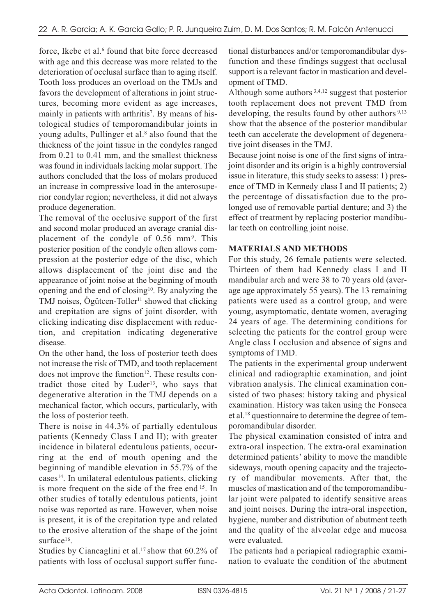force. Ikebe et al.<sup>6</sup> found that bite force decreased with age and this decrease was more related to the deterioration of occlusal surface than to aging itself. Tooth loss produces an overload on the TMJs and favors the development of alterations in joint structures, becoming more evident as age increases, mainly in patients with arthritis<sup>7</sup>. By means of histological studies of temporomandibular joints in young adults, Pullinger et al.<sup>8</sup> also found that the thickness of the joint tissue in the condyles ranged from 0.21 to 0.41 mm, and the smallest thickness was found in individuals lacking molar support. The authors concluded that the loss of molars produced an increase in compressive load in the anterosuperior condylar region; nevertheless, it did not always produce degeneration.

The removal of the occlusive support of the first and second molar produced an average cranial displacement of the condyle of 0.56 mm<sup>9</sup>. This posterior position of the condyle often allows compression at the posterior edge of the disc, which allows displacement of the joint disc and the appearance of joint noise at the beginning of mouth opening and the end of closing $10$ . By analyzing the TMJ noises, Ögütcen-Toller<sup>11</sup> showed that clicking and crepitation are signs of joint disorder, with clicking indicating disc displacement with reduction, and crepitation indicating degenerative disease.

On the other hand, the loss of posterior teeth does not increase the risk of TMD, and tooth replacement does not improve the function $12$ . These results contradict those cited by Luder<sup>13</sup>, who says that degenerative alteration in the TMJ depends on a mechanical factor, which occurs, particularly, with the loss of posterior teeth.

There is noise in 44.3% of partially edentulous patients (Kennedy Class I and II); with greater incidence in bilateral edentulous patients, occurring at the end of mouth opening and the beginning of mandible elevation in 55.7% of the cases14. In unilateral edentulous patients, clicking is more frequent on the side of the free end 15. In other studies of totally edentulous patients, joint noise was reported as rare. However, when noise is present, it is of the crepitation type and related to the erosive alteration of the shape of the joint surface<sup>16</sup>.

Studies by Ciancaglini et al.<sup>17</sup> show that 60.2% of patients with loss of occlusal support suffer functional disturbances and/or temporomandibular dysfunction and these findings suggest that occlusal support is a relevant factor in mastication and development of TMD.

Although some authors 3,4,12 suggest that posterior tooth replacement does not prevent TMD from developing, the results found by other authors<sup>9,13</sup> show that the absence of the posterior mandibular teeth can accelerate the development of degenerative joint diseases in the TMJ.

Because joint noise is one of the first signs of intrajoint disorder and its origin is a highly controversial issue in literature, this study seeks to assess: 1) presence of TMD in Kennedy class I and II patients; 2) the percentage of dissatisfaction due to the prolonged use of removable partial denture; and 3) the effect of treatment by replacing posterior mandibular teeth on controlling joint noise.

## **MATERIALS AND METHODS**

For this study, 26 female patients were selected. Thirteen of them had Kennedy class I and II mandibular arch and were 38 to 70 years old (average age approximately 55 years). The 13 remaining patients were used as a control group, and were young, asymptomatic, dentate women, averaging 24 years of age. The determining conditions for selecting the patients for the control group were Angle class I occlusion and absence of signs and symptoms of TMD.

The patients in the experimental group underwent clinical and radiographic examination, and joint vibration analysis. The clinical examination consisted of two phases: history taking and physical examination. History was taken using the Fonseca et al.18 questionnaire to determine the degree of temporomandibular disorder.

The physical examination consisted of intra and extra-oral inspection. The extra-oral examination determined patients' ability to move the mandible sideways, mouth opening capacity and the trajectory of mandibular movements. After that, the muscles of mastication and of the temporomandibular joint were palpated to identify sensitive areas and joint noises. During the intra-oral inspection, hygiene, number and distribution of abutment teeth and the quality of the alveolar edge and mucosa were evaluated.

The patients had a periapical radiographic examination to evaluate the condition of the abutment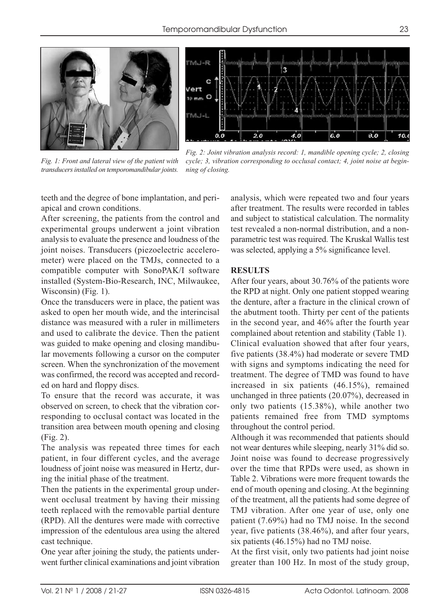



*Fig. 1: Front and lateral view of the patient with transducers installed on temporomandibular joints.*

*Fig. 2: Joint vibration analysis record: 1, mandible opening cycle; 2, closing cycle; 3, vibration corresponding to occlusal contact; 4, joint noise at beginning of closing.*

teeth and the degree of bone implantation, and periapical and crown conditions.

After screening, the patients from the control and experimental groups underwent a joint vibration analysis to evaluate the presence and loudness of the joint noises. Transducers (piezoelectric accelerometer) were placed on the TMJs, connected to a compatible computer with SonoPAK/I software installed (System-Bio-Research, INC, Milwaukee, Wisconsin) (Fig. 1).

Once the transducers were in place, the patient was asked to open her mouth wide, and the interincisal distance was measured with a ruler in millimeters and used to calibrate the device. Then the patient was guided to make opening and closing mandibular movements following a cursor on the computer screen. When the synchronization of the movement was confirmed, the record was accepted and recorded on hard and floppy discs.

To ensure that the record was accurate, it was observed on screen, to check that the vibration corresponding to occlusal contact was located in the transition area between mouth opening and closing (Fig. 2).

The analysis was repeated three times for each patient, in four different cycles, and the average loudness of joint noise was measured in Hertz, during the initial phase of the treatment.

Then the patients in the experimental group underwent occlusal treatment by having their missing teeth replaced with the removable partial denture (RPD). All the dentures were made with corrective impression of the edentulous area using the altered cast technique.

One year after joining the study, the patients underwent further clinical examinations and joint vibration analysis, which were repeated two and four years after treatment. The results were recorded in tables and subject to statistical calculation. The normality test revealed a non-normal distribution, and a nonparametric test was required. The Kruskal Wallis test was selected, applying a 5% significance level.

### **RESULTS**

After four years, about 30.76% of the patients wore the RPD at night. Only one patient stopped wearing the denture, after a fracture in the clinical crown of the abutment tooth. Thirty per cent of the patients in the second year, and 46% after the fourth year complained about retention and stability (Table 1). Clinical evaluation showed that after four years, five patients (38.4%) had moderate or severe TMD with signs and symptoms indicating the need for treatment. The degree of TMD was found to have increased in six patients (46.15%), remained unchanged in three patients (20.07%), decreased in only two patients (15.38%), while another two patients remained free from TMD symptoms throughout the control period.

Although it was recommended that patients should not wear dentures while sleeping, nearly 31% did so. Joint noise was found to decrease progressively over the time that RPDs were used, as shown in Table 2. Vibrations were more frequent towards the end of mouth opening and closing. At the beginning of the treatment, all the patients had some degree of TMJ vibration. After one year of use, only one patient (7.69%) had no TMJ noise. In the second year, five patients (38.46%), and after four years, six patients (46.15%) had no TMJ noise.

At the first visit, only two patients had joint noise greater than 100 Hz. In most of the study group,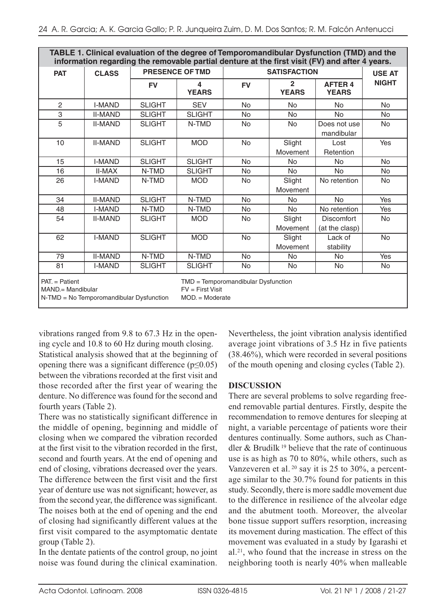| TABLE 1. Clinical evaluation of the degree of Temporomandibular Dysfunction (TMD) and the<br>information regarding the removable partial denture at the first visit (FV) and after 4 years. |                |               |                                                                              |           |                                |                                     |              |  |  |
|---------------------------------------------------------------------------------------------------------------------------------------------------------------------------------------------|----------------|---------------|------------------------------------------------------------------------------|-----------|--------------------------------|-------------------------------------|--------------|--|--|
| <b>PAT</b>                                                                                                                                                                                  | <b>CLASS</b>   |               | PRESENCE OF TMD                                                              |           | <b>USE AT</b>                  |                                     |              |  |  |
|                                                                                                                                                                                             |                | <b>FV</b>     | 4<br><b>YEARS</b>                                                            | <b>FV</b> | $\overline{2}$<br><b>YEARS</b> | <b>AFTER 4</b><br><b>YEARS</b>      | <b>NIGHT</b> |  |  |
| 2                                                                                                                                                                                           | <b>I-MAND</b>  | <b>SLIGHT</b> | <b>SEV</b>                                                                   | <b>No</b> | <b>No</b>                      | <b>No</b>                           | <b>No</b>    |  |  |
| 3                                                                                                                                                                                           | <b>II-MAND</b> | <b>SLIGHT</b> | <b>SLIGHT</b>                                                                | <b>No</b> | <b>No</b>                      | <b>No</b>                           | <b>No</b>    |  |  |
| 5                                                                                                                                                                                           | <b>II-MAND</b> | <b>SLIGHT</b> | N-TMD                                                                        | <b>No</b> | <b>No</b>                      | Does not use<br>mandibular          | <b>No</b>    |  |  |
| 10                                                                                                                                                                                          | <b>II-MAND</b> | <b>SLIGHT</b> | <b>MOD</b>                                                                   | <b>No</b> | Slight<br>Movement             | Lost<br>Retention                   | Yes          |  |  |
| 15                                                                                                                                                                                          | <b>I-MAND</b>  | <b>SLIGHT</b> | <b>SLIGHT</b>                                                                | <b>No</b> | <b>No</b>                      | <b>No</b>                           | <b>No</b>    |  |  |
| 16                                                                                                                                                                                          | <b>II-MAX</b>  | N-TMD         | <b>SLIGHT</b>                                                                | <b>No</b> | No                             | <b>No</b>                           | <b>No</b>    |  |  |
| 26                                                                                                                                                                                          | <b>I-MAND</b>  | N-TMD         | <b>MOD</b>                                                                   | <b>No</b> | Slight<br>Movement             | No retention                        | <b>No</b>    |  |  |
| 34                                                                                                                                                                                          | <b>II-MAND</b> | <b>SLIGHT</b> | N-TMD                                                                        | <b>No</b> | <b>No</b>                      | <b>No</b>                           | Yes          |  |  |
| 48                                                                                                                                                                                          | <b>I-MAND</b>  | N-TMD         | N-TMD                                                                        | <b>No</b> | <b>No</b>                      | No retention                        | Yes          |  |  |
| 54                                                                                                                                                                                          | <b>II-MAND</b> | <b>SLIGHT</b> | <b>MOD</b>                                                                   | <b>No</b> | Slight<br>Movement             | <b>Discomfort</b><br>(at the clasp) | <b>No</b>    |  |  |
| 62                                                                                                                                                                                          | <b>I-MAND</b>  | <b>SLIGHT</b> | <b>MOD</b>                                                                   | <b>No</b> | Slight<br>Movement             | Lack of<br>stability                | <b>No</b>    |  |  |
| 79                                                                                                                                                                                          | <b>II-MAND</b> | N-TMD         | N-TMD                                                                        | <b>No</b> | <b>No</b>                      | <b>No</b>                           | Yes          |  |  |
| 81                                                                                                                                                                                          | <b>I-MAND</b>  | <b>SLIGHT</b> | <b>SLIGHT</b>                                                                | <b>No</b> | <b>No</b>                      | <b>No</b>                           | <b>No</b>    |  |  |
| $PAT =$ Patient<br>MAND.= Mandibular<br>N-TMD = No Temporomandibular Dysfunction                                                                                                            |                |               | $TMD = Temporomandibular Dysfunction$<br>$FV = First Visit$<br>$MOD = Model$ |           |                                |                                     |              |  |  |

vibrations ranged from 9.8 to 67.3 Hz in the opening cycle and 10.8 to 60 Hz during mouth closing. Statistical analysis showed that at the beginning of opening there was a significant difference ( $p \leq 0.05$ ) between the vibrations recorded at the first visit and those recorded after the first year of wearing the denture. No difference was found for the second and fourth years (Table 2).

There was no statistically significant difference in the middle of opening, beginning and middle of closing when we compared the vibration recorded at the first visit to the vibration recorded in the first, second and fourth years. At the end of opening and end of closing, vibrations decreased over the years. The difference between the first visit and the first year of denture use was not significant; however, as from the second year, the difference was significant. The noises both at the end of opening and the end of closing had significantly different values at the first visit compared to the asymptomatic dentate group (Table 2).

In the dentate patients of the control group, no joint noise was found during the clinical examination.

Nevertheless, the joint vibration analysis identified average joint vibrations of 3.5 Hz in five patients (38.46%), which were recorded in several positions of the mouth opening and closing cycles (Table 2).

## **DISCUSSION**

There are several problems to solve regarding freeend removable partial dentures. Firstly, despite the recommendation to remove dentures for sleeping at night, a variable percentage of patients wore their dentures continually. Some authors, such as Chandler & Brudilk <sup>19</sup> believe that the rate of continuous use is as high as 70 to 80%, while others, such as Vanzeveren et al.  $20$  say it is 25 to 30%, a percentage similar to the 30.7% found for patients in this study. Secondly, there is more saddle movement due to the difference in resilience of the alveolar edge and the abutment tooth. Moreover, the alveolar bone tissue support suffers resorption, increasing its movement during mastication. The effect of this movement was evaluated in a study by Igarashi et al.21, who found that the increase in stress on the neighboring tooth is nearly 40% when malleable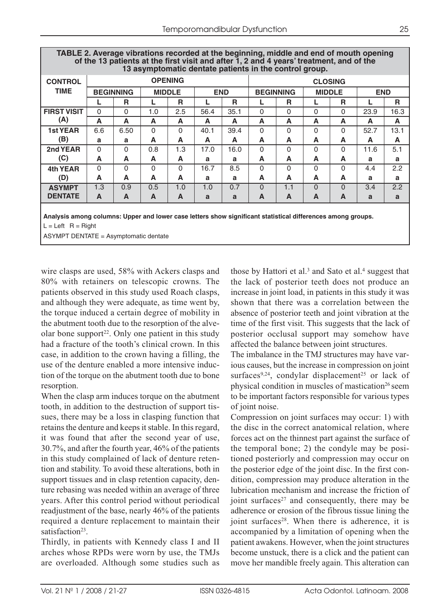| $\cdots$ $\cdots$ $\cdots$<br>13 asymptomatic dentate patients in the control group. |                  |          |               |          |            |      |                  |          |               |          |            |      |
|--------------------------------------------------------------------------------------|------------------|----------|---------------|----------|------------|------|------------------|----------|---------------|----------|------------|------|
| <b>CONTROL</b>                                                                       | <b>OPENING</b>   |          |               |          |            |      | <b>CLOSING</b>   |          |               |          |            |      |
| <b>TIME</b>                                                                          | <b>BEGINNING</b> |          | <b>MIDDLE</b> |          | <b>END</b> |      | <b>BEGINNING</b> |          | <b>MIDDLE</b> |          | <b>END</b> |      |
|                                                                                      |                  | R        |               | R        |            | R    |                  | R        |               | R        |            | R    |
| <b>FIRST VISIT</b>                                                                   | $\Omega$         | $\Omega$ | 1.0           | 2.5      | 56.4       | 35.1 | $\Omega$         | $\Omega$ | $\Omega$      | $\Omega$ | 23.9       | 16.3 |
| (A)                                                                                  | A                | A        | A             | A        | A          | A    | A                | A        | A             | A        | A          | A    |
| <b>1st YEAR</b>                                                                      | 6.6              | 6.50     | $\Omega$      | $\Omega$ | 40.1       | 39.4 | $\Omega$         | $\Omega$ | $\Omega$      | $\Omega$ | 52.7       | 13.1 |
| (B)                                                                                  | a                | a        | A             | A        | A          | A    | A                | A        | A             | A        | A          | A    |
| 2nd YEAR                                                                             | $\Omega$         | 0        | 0.8           | 1.3      | 17.0       | 16.0 | $\Omega$         | $\Omega$ | $\Omega$      | $\Omega$ | 11.6       | 5.1  |
| (C)                                                                                  | A                | A        | A             | A        | a          | a    | A                | A        | A             | A        | a          | a    |
| 4th YEAR                                                                             | $\Omega$         | $\Omega$ | $\Omega$      | $\Omega$ | 16.7       | 8.5  | $\Omega$         | $\Omega$ | $\Omega$      | $\Omega$ | 4.4        | 2.2  |
| (D)                                                                                  | A                | A        | A             | A        | a          | a    | A                | A        | A             | A        | a          | a    |
| <b>ASYMPT</b>                                                                        | 1.3              | 0.9      | 0.5           | 1.0      | 1.0        | 0.7  | $\Omega$         | 1.1      | $\Omega$      | $\Omega$ | 3.4        | 2.2  |
| <b>DENTATE</b>                                                                       | A                | A        | A             | A        | a          | a    | A                | A        | A             | A        | a          | a    |
|                                                                                      |                  |          |               |          |            |      |                  |          |               |          |            |      |

# **TABLE 2. Average vibrations recorded at the beginning, middle and end of mouth opening of the 13 patients at the first visit and after 1, 2 and 4 years' treatment, and of the**

**Analysis among columns: Upper and lower case letters show significant statistical differences among groups.**  $L = Left$  R = Right

ASYMPT DENTATE = Asymptomatic dentate

wire clasps are used, 58% with Ackers clasps and 80% with retainers on telescopic crowns. The patients observed in this study used Roach clasps, and although they were adequate, as time went by, the torque induced a certain degree of mobility in the abutment tooth due to the resorption of the alveolar bone support<sup>22</sup>. Only one patient in this study had a fracture of the tooth's clinical crown. In this case, in addition to the crown having a filling, the use of the denture enabled a more intensive induction of the torque on the abutment tooth due to bone resorption.

When the clasp arm induces torque on the abutment tooth, in addition to the destruction of support tissues, there may be a loss in clasping function that retains the denture and keeps it stable. In this regard, it was found that after the second year of use, 30.7%, and after the fourth year, 46% of the patients in this study complained of lack of denture retention and stability. To avoid these alterations, both in support tissues and in clasp retention capacity, denture rebasing was needed within an average of three years. After this control period without periodical readjustment of the base, nearly 46% of the patients required a denture replacement to maintain their satisfaction<sup>23</sup>.

Thirdly, in patients with Kennedy class I and II arches whose RPDs were worn by use, the TMJs are overloaded. Although some studies such as those by Hattori et al. $3$  and Sato et al. $4$  suggest that the lack of posterior teeth does not produce an increase in joint load, in patients in this study it was shown that there was a correlation between the absence of posterior teeth and joint vibration at the time of the first visit. This suggests that the lack of posterior occlusal support may somehow have affected the balance between joint structures.

The imbalance in the TMJ structures may have various causes, but the increase in compression on joint surfaces<sup>9,24</sup>, condylar displacement<sup>25</sup> or lack of physical condition in muscles of mastication<sup>26</sup> seem to be important factors responsible for various types of joint noise.

Compression on joint surfaces may occur: 1) with the disc in the correct anatomical relation, where forces act on the thinnest part against the surface of the temporal bone; 2) the condyle may be positioned posteriorly and compression may occur on the posterior edge of the joint disc. In the first condition, compression may produce alteration in the lubrication mechanism and increase the friction of joint surfaces<sup>27</sup> and consequently, there may be adherence or erosion of the fibrous tissue lining the joint surfaces<sup>28</sup>. When there is adherence, it is accompanied by a limitation of opening when the patient awakens. However, when the joint structures become unstuck, there is a click and the patient can move her mandible freely again. This alteration can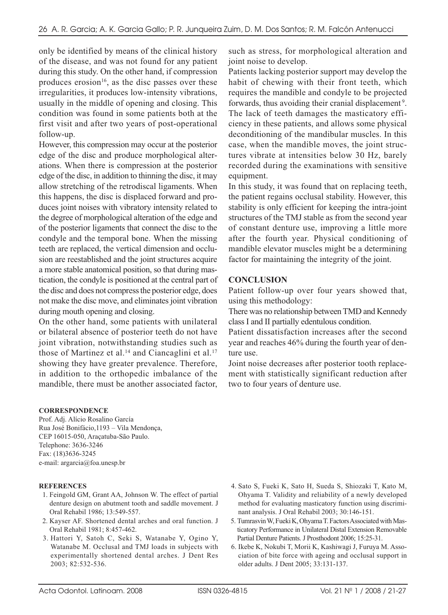only be identified by means of the clinical history of the disease, and was not found for any patient during this study. On the other hand, if compression produces erosion<sup>16</sup>, as the disc passes over these irregularities, it produces low-intensity vibrations, usually in the middle of opening and closing. This condition was found in some patients both at the first visit and after two years of post-operational follow-up.

However, this compression may occur at the posterior edge of the disc and produce morphological alterations. When there is compression at the posterior edge of the disc, in addition to thinning the disc, it may allow stretching of the retrodiscal ligaments. When this happens, the disc is displaced forward and produces joint noises with vibratory intensity related to the degree of morphological alteration of the edge and of the posterior ligaments that connect the disc to the condyle and the temporal bone. When the missing teeth are replaced, the vertical dimension and occlusion are reestablished and the joint structures acquire a more stable anatomical position, so that during mastication, the condyle is positioned at the central part of the disc and does not compress the posterior edge, does not make the disc move, and eliminates joint vibration during mouth opening and closing.

On the other hand, some patients with unilateral or bilateral absence of posterior teeth do not have joint vibration, notwithstanding studies such as those of Martinez et al.<sup>14</sup> and Ciancaglini et al.<sup>17</sup> showing they have greater prevalence. Therefore, in addition to the orthopedic imbalance of the mandible, there must be another associated factor,

**CORRESPONDENCE**

Prof. Adj. Alício Rosalino García Rua José Bonifácio,1193 – Vila Mendonça, CEP 16015-050, Araçatuba-São Paulo. Telephone: 3636-3246 Fax: (18)3636-3245 e-mail: argarcia@foa.unesp.br

#### **REFERENCES**

- 1. Feingold GM, Grant AA, Johnson W. The effect of partial denture design on abutment tooth and saddle movement. J Oral Rehabil 1986; 13:549-557.
- 2. Kayser AF. Shortened dental arches and oral function. J Oral Rehabil 1981; 8:457-462.
- 3. Hattori Y, Satoh C, Seki S, Watanabe Y, Ogino Y, Watanabe M. Occlusal and TMJ loads in subjects with experimentally shortened dental arches. J Dent Res 2003; 82:532-536.

such as stress, for morphological alteration and joint noise to develop.

Patients lacking posterior support may develop the habit of chewing with their front teeth, which requires the mandible and condyle to be projected forwards, thus avoiding their cranial displacement<sup>9</sup>. The lack of teeth damages the masticatory efficiency in these patients, and allows some physical deconditioning of the mandibular muscles. In this case, when the mandible moves, the joint structures vibrate at intensities below 30 Hz, barely recorded during the examinations with sensitive equipment.

In this study, it was found that on replacing teeth, the patient regains occlusal stability. However, this stability is only efficient for keeping the intra-joint structures of the TMJ stable as from the second year of constant denture use, improving a little more after the fourth year. Physical conditioning of mandible elevator muscles might be a determining factor for maintaining the integrity of the joint.

### **CONCLUSION**

Patient follow-up over four years showed that, using this methodology:

There was no relationship between TMD and Kennedy class I and II partially edentulous condition.

Patient dissatisfaction increases after the second year and reaches 46% during the fourth year of denture use.

Joint noise decreases after posterior tooth replacement with statistically significant reduction after two to four years of denture use.

- 4. Sato S, Fueki K, Sato H, Sueda S, Shiozaki T, Kato M, Ohyama T. Validity and reliability of a newly developed method for evaluating masticatory function using discriminant analysis. J Oral Rehabil 2003; 30:146-151.
- 5. Tumrasvin W, Fueki K, Ohyama T. Factors Associated with Masticatory Performance in Unilateral Distal Extension Removable Partial Denture Patients. J Prosthodont 2006; 15:25-31.
- 6. Ikebe K, Nokubi T, Morii K, Kashiwagi J, Furuya M. Association of bite force with ageing and occlusal support in older adults. J Dent 2005; 33:131-137.